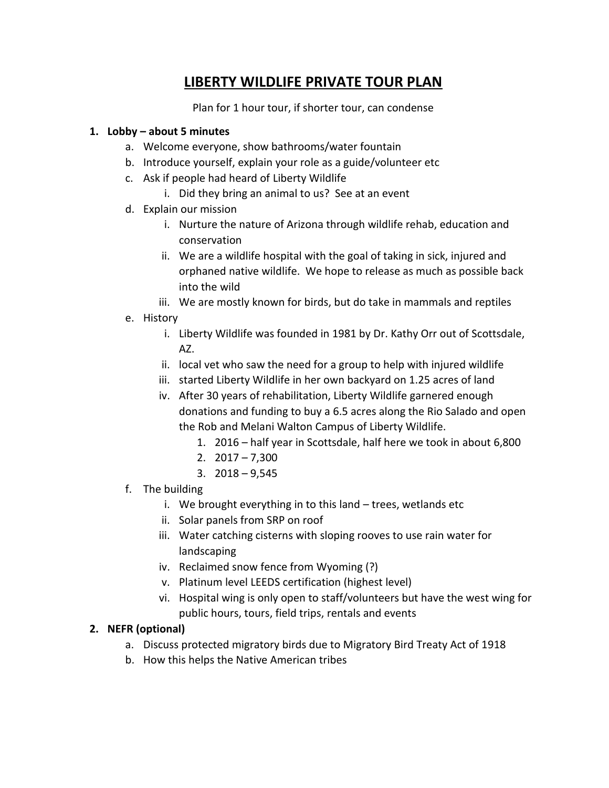# **LIBERTY WILDLIFE PRIVATE TOUR PLAN**

Plan for 1 hour tour, if shorter tour, can condense

#### **1. Lobby – about 5 minutes**

- a. Welcome everyone, show bathrooms/water fountain
- b. Introduce yourself, explain your role as a guide/volunteer etc
- c. Ask if people had heard of Liberty Wildlife
	- i. Did they bring an animal to us? See at an event
- d. Explain our mission
	- i. Nurture the nature of Arizona through wildlife rehab, education and conservation
	- ii. We are a wildlife hospital with the goal of taking in sick, injured and orphaned native wildlife. We hope to release as much as possible back into the wild
	- iii. We are mostly known for birds, but do take in mammals and reptiles
- e. History
	- i. Liberty Wildlife was founded in 1981 by Dr. Kathy Orr out of Scottsdale, AZ.
	- ii. local vet who saw the need for a group to help with injured wildlife
	- iii. started Liberty Wildlife in her own backyard on 1.25 acres of land
	- iv. After 30 years of rehabilitation, Liberty Wildlife garnered enough donations and funding to buy a 6.5 acres along the Rio Salado and open the Rob and Melani Walton Campus of Liberty Wildlife.
		- 1. 2016 half year in Scottsdale, half here we took in about 6,800
		- 2. 2017 7,300
		- 3. 2018 9,545
- f. The building
	- i. We brought everything in to this land trees, wetlands etc
	- ii. Solar panels from SRP on roof
	- iii. Water catching cisterns with sloping rooves to use rain water for landscaping
	- iv. Reclaimed snow fence from Wyoming (?)
	- v. Platinum level LEEDS certification (highest level)
	- vi. Hospital wing is only open to staff/volunteers but have the west wing for public hours, tours, field trips, rentals and events

#### **2. NEFR (optional)**

- a. Discuss protected migratory birds due to Migratory Bird Treaty Act of 1918
- b. How this helps the Native American tribes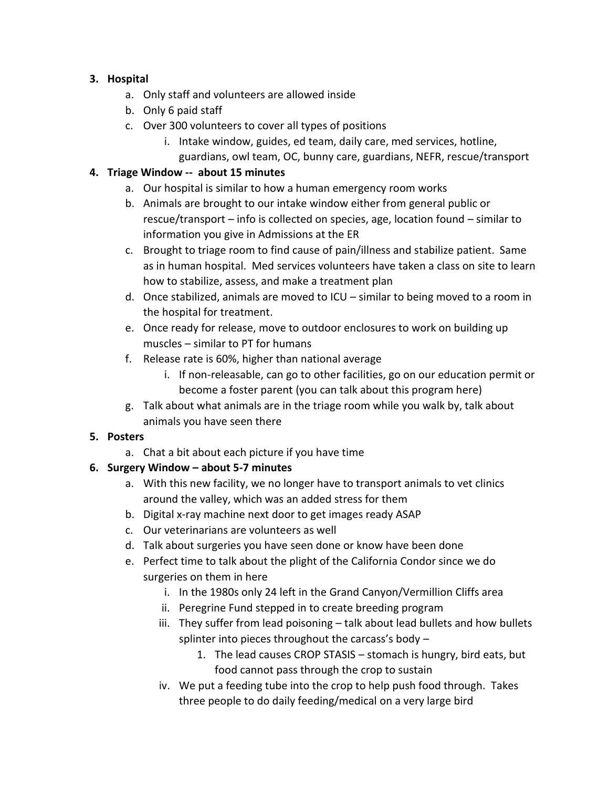# **3. Hospital**

- a. Only staff and volunteers are allowed inside
- b. Only 6 paid staff
- c. Over 300 volunteers to cover all types of positions
	- i. Intake window, guides, ed team, daily care, med services, hotline, guardians, owl team, OC, bunny care, guardians, NEFR, rescue/transport

# **4. Triage Window -- about 15 minutes**

- a. Our hospital is similar to how a human emergency room works
- b. Animals are brought to our intake window either from general public or rescue/transport – info is collected on species, age, location found – similar to information you give in Admissions at the ER
- c. Brought to triage room to find cause of pain/illness and stabilize patient. Same as in human hospital. Med services volunteers have taken a class on site to learn how to stabilize, assess, and make a treatment plan
- d. Once stabilized, animals are moved to ICU similar to being moved to a room in the hospital for treatment.
- e. Once ready for release, move to outdoor enclosures to work on building up muscles – similar to PT for humans
- f. Release rate is 60%, higher than national average
	- i. If non-releasable, can go to other facilities, go on our education permit or become a foster parent (you can talk about this program here)
- g. Talk about what animals are in the triage room while you walk by, talk about animals you have seen there

# **5. Posters**

a. Chat a bit about each picture if you have time

# **6. Surgery Window – about 5-7 minutes**

- a. With this new facility, we no longer have to transport animals to vet clinics around the valley, which was an added stress for them
- b. Digital x-ray machine next door to get images ready ASAP
- c. Our veterinarians are volunteers as well
- d. Talk about surgeries you have seen done or know have been done
- e. Perfect time to talk about the plight of the California Condor since we do surgeries on them in here
	- i. In the 1980s only 24 left in the Grand Canyon/Vermillion Cliffs area
	- ii. Peregrine Fund stepped in to create breeding program
	- iii. They suffer from lead poisoning talk about lead bullets and how bullets splinter into pieces throughout the carcass's body –
		- 1. The lead causes CROP STASIS stomach is hungry, bird eats, but food cannot pass through the crop to sustain
	- iv. We put a feeding tube into the crop to help push food through. Takes three people to do daily feeding/medical on a very large bird